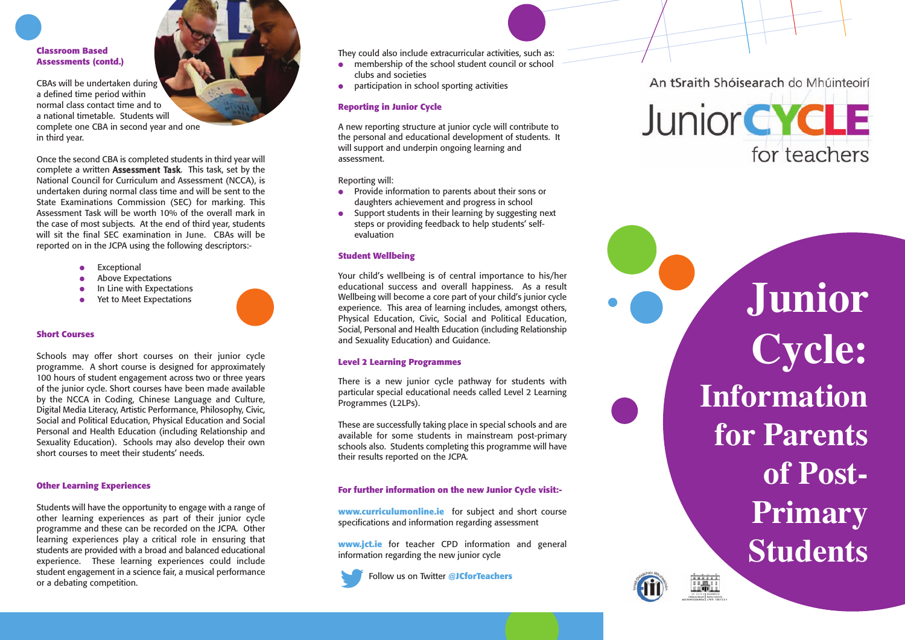**Classroom Based Assessments (contd.)**

CBAs will be undertaken during a defined time period within normal class contact time and to a national timetable. Students will complete one CBA in second year and one in third year.

Once the second CBA is completed students in third year will complete a written Assessment Task. This task, set by the National Council for Curriculum and Assessment (NCCA), is undertaken during normal class time and will be sent to the State Examinations Commission (SEC) for marking. This Assessment Task will be worth 10% of the overall mark in the case of most subjects. At the end of third year, students will sit the final SEC examination in June. CBAs will be reported on in the JCPA using the following descriptors:-

- Exceptional
- **Above Expectations**
- In Line with Expectations
- Yet to Meet Expectations

#### **Short Courses**

Schools may offer short courses on their junior cycle programme. A short course is designed for approximately 100 hours of student engagement across two or three years of the junior cycle. Short courses have been made available by the NCCA in Coding, Chinese Language and Culture, Digital Media Literacy, Artistic Performance, Philosophy, Civic, Social and Political Education, Physical Education and Social Personal and Health Education (including Relationship and Sexuality Education). Schools may also develop their own short courses to meet their students' needs.

### **Other Learning Experiences**

Students will have the opportunity to engage with a range of other learning experiences as part of their junior cycle programme and these can be recorded on the JCPA. Other learning experiences play a critical role in ensuring that students are provided with a broad and balanced educational experience. These learning experiences could include student engagement in a science fair, a musical performance or a debating competition.

They could also include extracurricular activities, such as:

- $\bullet$  membership of the school student council or school clubs and societies
- participation in school sporting activities

### **Reporting in Junior Cycle**

A new reporting structure at junior cycle will contribute to the personal and educational development of students. It will support and underpin ongoing learning and assessment.

Reporting will:

- Provide information to parents about their sons or daughters achievement and progress in school
- Support students in their learning by suggesting next steps or providing feedback to help students' selfevaluation

# **Student Wellbeing**

Your child's wellbeing is of central importance to his/her educational success and overall happiness. As a result Wellbeing will become a core part of your child's junior cycle experience. This area of learning includes, amongst others, Physical Education, Civic, Social and Political Education, Social, Personal and Health Education (including Relationship and Sexuality Education) and Guidance.

# **Level 2 Learning Programmes**

There is a new junior cycle pathway for students with particular special educational needs called Level 2 Learning Programmes (L2LPs).

These are successfully taking place in special schools and are available for some students in mainstream post-primary schools also. Students completing this programme will have their results reported on the JCPA.

# **For further information on the new Junior Cycle visit:-**

**www.curriculumonline.ie** for subject and short course specifications and information regarding assessment

**www.jct.ie** for teacher CPD information and general information regarding the new junior cycle

Follow us on Twitter **@JCforTeachers**



**Junior Cycle: Information for Parents of Post-Primary Students**